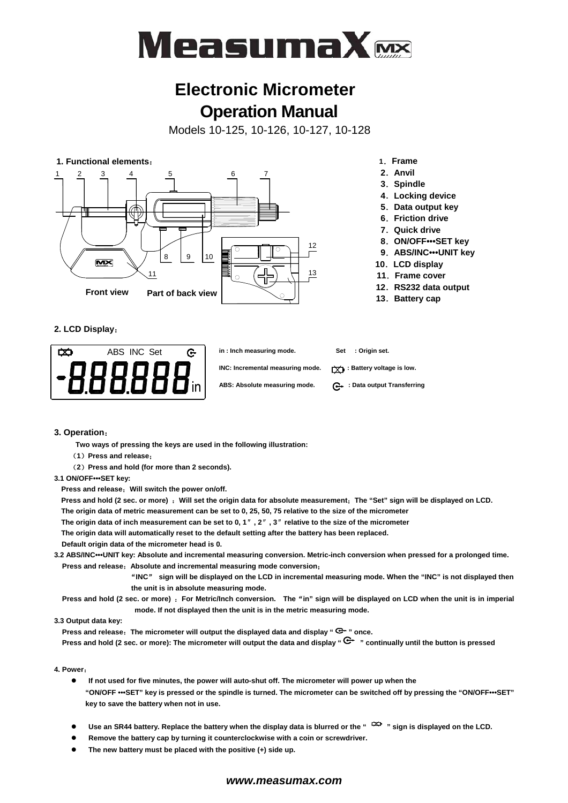

# **Electronic Micrometer Operation Manual**

Models 10-125, 10-126, 10-127, 10-128



#### **2. LCD Display**:



#### **3. Operation**:

**Two ways of pressing the keys are used in the following illustration:** 

- (**1**)**Press and release**;
- (**2**)**Press and hold (for more than 2 seconds).**

#### **3.1 ON/OFF•••SET key:**

**Press and release**:**Will switch the power on/off.** 

**Press and hold (2 sec. or more)** :**Will set the origin data for absolute measurement**;**The "Set" sign will be displayed on LCD.** 

- **The origin data of metric measurement can be set to 0, 25, 50, 75 relative to the size of the micrometer**
- **The origin data of inch measurement can be set to 0, 1**″**, 2**″**, 3**″**relative to the size of the micrometer**

**The origin data will automatically reset to the default setting after the battery has been replaced.** 

 **Default origin data of the micrometer head is 0.** 

- **3.2 ABS/INC•••UNIT key: Absolute and incremental measuring conversion. Metric-inch conversion when pressed for a prolonged time. Press and release**:**Absolute and incremental measuring mode conversion**;
	- "**INC**" **sign will be displayed on the LCD in incremental measuring mode. When the "INC" is not displayed then the unit is in absolute measuring mode.**

**Press and hold (2 sec. or more)** :**For Metric/Inch conversion. The**"**in" sign will be displayed on LCD when the unit is in imperial mode. If not displayed then the unit is in the metric measuring mode.** 

#### **3.3 Output data key:**

**Press and release**:**The micrometer will output the displayed data and display " " once.** 

**Press and hold (2 sec. or more): The micrometer will output the data and display "C<sup>+</sup> " continually until the button is pressed** 

#### **4. Power**:

- **•** If not used for five minutes, the power will auto-shut off. The micrometer will power up when the **"ON/OFF •••SET" key is pressed or the spindle is turned. The micrometer can be switched off by pressing the "ON/OFF•••SET" key to save the battery when not in use.**
- Use an SR44 battery. Replace the battery when the display data is blurred or the "<sup>  $\leftrightarrow$ </sup> sign is displayed on the LCD.
- Remove the battery cap by turning it counterclockwise with a coin or screwdriver.
- **•** The new battery must be placed with the positive (+) side up.

#### *www.measumax.com*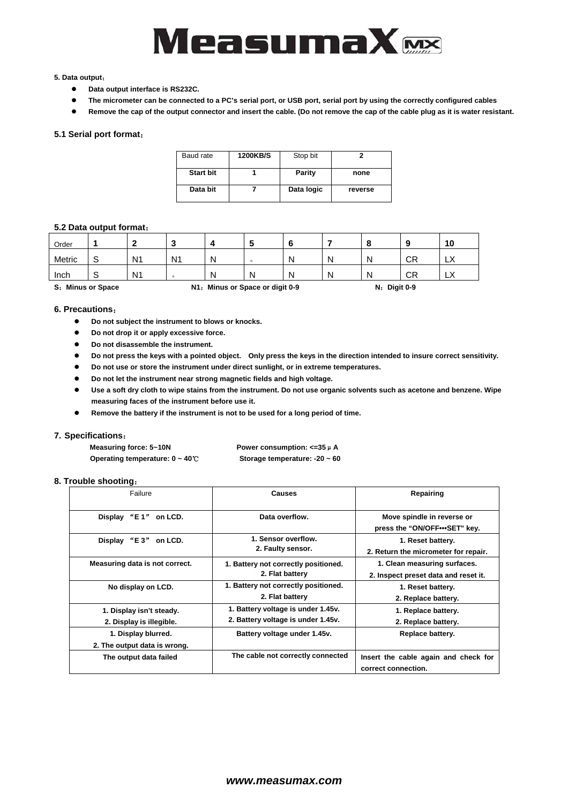

#### **5. Data output**:

- Data output interface is RS232C.
- The micrometer can be connected to a PC's serial port, or USB port, serial port by using the correctly configured cables
- **•** Remove the cap of the output connector and insert the cable. (Do not remove the cap of the cable plug as it is water resistant.

#### **5.1 Serial port format**:

| Baud rate        | <b>1200KB/S</b> | Stop bit   |         |
|------------------|-----------------|------------|---------|
| <b>Start bit</b> |                 | Parity     | none    |
| Data bit         |                 | Data logic | reverse |

#### **5.2 Data output format**:

| Order  |                       |                |                |   |                                 |   |   |                |    | 10                 |
|--------|-----------------------|----------------|----------------|---|---------------------------------|---|---|----------------|----|--------------------|
| Metric |                       | N <sub>1</sub> | N <sub>1</sub> | N |                                 | N |   | Ν              | СR | $\mathbf{v}$<br>∟∧ |
| Inch   |                       | N <sub>1</sub> | $\Omega$       | N | N                               | N | Ν | Ν              | СR | "∟                 |
| s.     | <b>Minus or Space</b> |                |                |   | N1: Minus or Space or digit 0-9 |   |   | $N:$ Digit 0-9 |    |                    |

#### **6. Precautions**:

- **•** Do not subject the instrument to blows or knocks.
- **•** Do not drop it or apply excessive force.
- $\bullet$  Do not disassemble the instrument.
- **•** Do not press the keys with a pointed object. Only press the keys in the direction intended to insure correct sensitivity.
- **•** Do not use or store the instrument under direct sunlight, or in extreme temperatures.
- **•** Do not let the instrument near strong magnetic fields and high voltage.
- **•** Use a soft dry cloth to wipe stains from the instrument. Do not use organic solvents such as acetone and benzene. Wipe **measuring faces of the instrument before use it.**
- Remove the battery if the instrument is not to be used for a long period of time.

#### **7. Specifications**:

| Measuring force: 5~10N                     | Power consumption: $\lt=35 \mu$ A  |
|--------------------------------------------|------------------------------------|
| Operating temperature: $0 \sim 40^{\circ}$ | Storage temperature: $-20 \sim 60$ |

#### **8. Trouble shooting**:

| Failure                                              | <b>Causes</b>                                                            | Repairing                                                            |  |
|------------------------------------------------------|--------------------------------------------------------------------------|----------------------------------------------------------------------|--|
| Display "E1" on LCD.                                 | Data overflow.                                                           | Move spindle in reverse or<br>press the "ON/OFF ••• SET" key.        |  |
| "E 3"<br>Display<br>on LCD.                          | 1. Sensor overflow.<br>2. Faulty sensor.                                 | 1. Reset battery.<br>2. Return the micrometer for repair.            |  |
| Measuring data is not correct.                       | 1. Battery not correctly positioned.<br>2. Flat battery                  | 1. Clean measuring surfaces.<br>2. Inspect preset data and reset it. |  |
| No display on LCD.                                   | 1. Battery not correctly positioned.<br>2. Flat battery                  | 1. Reset battery.<br>2. Replace battery.                             |  |
| 1. Display isn't steady.<br>2. Display is illegible. | 1. Battery voltage is under 1.45v.<br>2. Battery voltage is under 1.45v. | 1. Replace battery.<br>2. Replace battery.                           |  |
| 1. Display blurred.<br>2. The output data is wrong.  | Battery voltage under 1.45v.                                             | Replace battery.                                                     |  |
| The output data failed                               | The cable not correctly connected                                        | Insert the cable again and check for<br>correct connection.          |  |